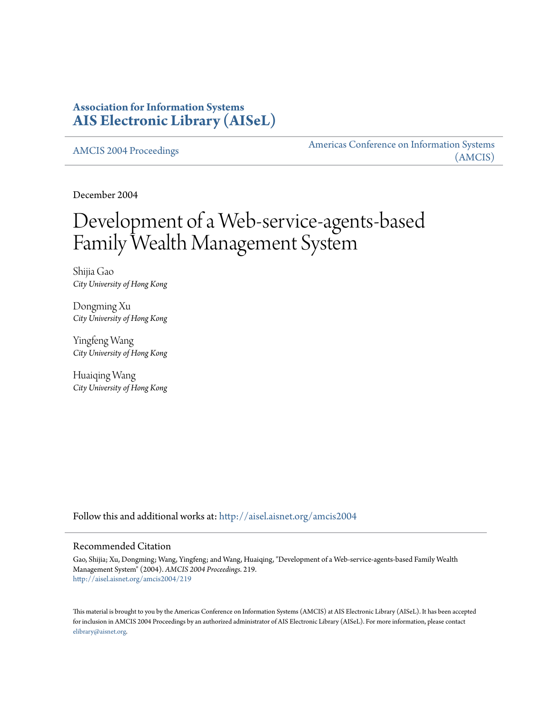### **Association for Information Systems [AIS Electronic Library \(AISeL\)](http://aisel.aisnet.org?utm_source=aisel.aisnet.org%2Famcis2004%2F219&utm_medium=PDF&utm_campaign=PDFCoverPages)**

[AMCIS 2004 Proceedings](http://aisel.aisnet.org/amcis2004?utm_source=aisel.aisnet.org%2Famcis2004%2F219&utm_medium=PDF&utm_campaign=PDFCoverPages)

[Americas Conference on Information Systems](http://aisel.aisnet.org/amcis?utm_source=aisel.aisnet.org%2Famcis2004%2F219&utm_medium=PDF&utm_campaign=PDFCoverPages) [\(AMCIS\)](http://aisel.aisnet.org/amcis?utm_source=aisel.aisnet.org%2Famcis2004%2F219&utm_medium=PDF&utm_campaign=PDFCoverPages)

December 2004

# Development of a Web-service-agents-based Family Wealth Management System

Shijia Gao *City University of Hong Kong*

Dongming Xu *City University of Hong Kong*

Yingfeng Wang *City University of Hong Kong*

Huaiqing Wang *City University of Hong Kong*

Follow this and additional works at: [http://aisel.aisnet.org/amcis2004](http://aisel.aisnet.org/amcis2004?utm_source=aisel.aisnet.org%2Famcis2004%2F219&utm_medium=PDF&utm_campaign=PDFCoverPages)

#### Recommended Citation

Gao, Shijia; Xu, Dongming; Wang, Yingfeng; and Wang, Huaiqing, "Development of a Web-service-agents-based Family Wealth Management System" (2004). *AMCIS 2004 Proceedings*. 219. [http://aisel.aisnet.org/amcis2004/219](http://aisel.aisnet.org/amcis2004/219?utm_source=aisel.aisnet.org%2Famcis2004%2F219&utm_medium=PDF&utm_campaign=PDFCoverPages)

This material is brought to you by the Americas Conference on Information Systems (AMCIS) at AIS Electronic Library (AISeL). It has been accepted for inclusion in AMCIS 2004 Proceedings by an authorized administrator of AIS Electronic Library (AISeL). For more information, please contact [elibrary@aisnet.org.](mailto:elibrary@aisnet.org%3E)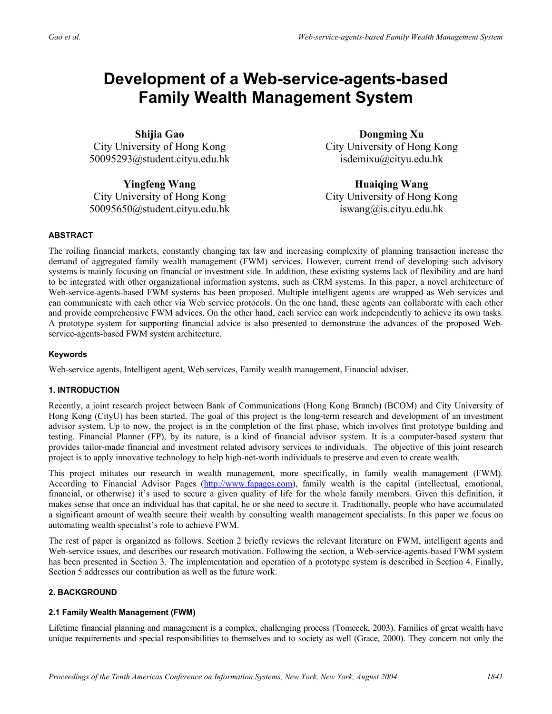## **Development of a Web-service-agents-based Family Wealth Management System**

**Shijia Gao**  City University of Hong Kong 50095293@student.cityu.edu.hk

**Yingfeng Wang**  City University of Hong Kong 50095650@student.cityu.edu.hk

**Dongming Xu**  City University of Hong Kong isdemixu@cityu.edu.hk

**Huaiqing Wang**  City University of Hong Kong iswang@is.cityu.edu.hk

#### **ABSTRACT**

The roiling financial markets, constantly changing tax law and increasing complexity of planning transaction increase the demand of aggregated family wealth management (FWM) services. However, current trend of developing such advisory systems is mainly focusing on financial or investment side. In addition, these existing systems lack of flexibility and are hard to be integrated with other organizational information systems, such as CRM systems. In this paper, a novel architecture of Web-service-agents-based FWM systems has been proposed. Multiple intelligent agents are wrapped as Web services and can communicate with each other via Web service protocols. On the one hand, these agents can collaborate with each other and provide comprehensive FWM advices. On the other hand, each service can work independently to achieve its own tasks. A prototype system for supporting financial advice is also presented to demonstrate the advances of the proposed Webservice-agents-based FWM system architecture.

#### **Keywords**

Web-service agents, Intelligent agent, Web services, Family wealth management, Financial adviser.

#### **1. INTRODUCTION**

Recently, a joint research project between Bank of Communications (Hong Kong Branch) (BCOM) and City University of Hong Kong (CityU) has been started. The goal of this project is the long-term research and development of an investment advisor system. Up to now, the project is in the completion of the first phase, which involves first prototype building and testing. Financial Planner (FP), by its nature, is a kind of financial advisor system. It is a computer-based system that provides tailor-made financial and investment related advisory services to individuals. The objective of this joint research project is to apply innovative technology to help high-net-worth individuals to preserve and even to create wealth.

This project initiates our research in wealth management, more specifically, in family wealth management (FWM). According to Financial Advisor Pages (http://www.fapages.com), family wealth is the capital (intellectual, emotional, financial, or otherwise) it's used to secure a given quality of life for the whole family members. Given this definition, it makes sense that once an individual has that capital, he or she need to secure it. Traditionally, people who have accumulated a significant amount of wealth secure their wealth by consulting wealth management specialists. In this paper we focus on automating wealth specialist's role to achieve FWM.

The rest of paper is organized as follows. Section 2 briefly reviews the relevant literature on FWM, intelligent agents and Web-service issues, and describes our research motivation. Following the section, a Web-service-agents-based FWM system has been presented in Section 3. The implementation and operation of a prototype system is described in Section 4. Finally, Section 5 addresses our contribution as well as the future work.

#### **2. BACKGROUND**

#### **2.1 Family Wealth Management (FWM)**

Lifetime financial planning and management is a complex, challenging process (Tomecek, 2003). Families of great wealth have unique requirements and special responsibilities to themselves and to society as well (Grace, 2000). They concern not only the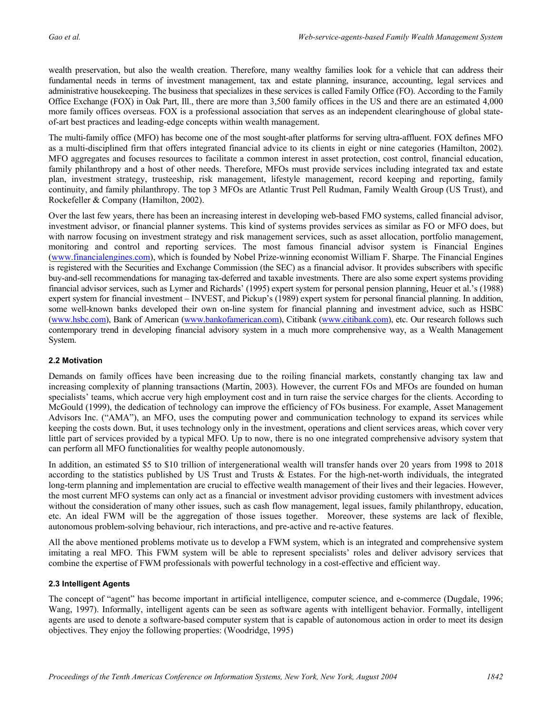wealth preservation, but also the wealth creation. Therefore, many wealthy families look for a vehicle that can address their fundamental needs in terms of investment management, tax and estate planning, insurance, accounting, legal services and administrative housekeeping. The business that specializes in these services is called Family Office (FO). According to the Family Office Exchange (FOX) in Oak Part, Ill., there are more than 3,500 family offices in the US and there are an estimated 4,000 more family offices overseas. FOX is a professional association that serves as an independent clearinghouse of global stateof-art best practices and leading-edge concepts within wealth management.

The multi-family office (MFO) has become one of the most sought-after platforms for serving ultra-affluent. FOX defines MFO as a multi-disciplined firm that offers integrated financial advice to its clients in eight or nine categories (Hamilton, 2002). MFO aggregates and focuses resources to facilitate a common interest in asset protection, cost control, financial education, family philanthropy and a host of other needs. Therefore, MFOs must provide services including integrated tax and estate plan, investment strategy, trusteeship, risk management, lifestyle management, record keeping and reporting, family continuity, and family philanthropy. The top 3 MFOs are Atlantic Trust Pell Rudman, Family Wealth Group (US Trust), and Rockefeller & Company (Hamilton, 2002).

Over the last few years, there has been an increasing interest in developing web-based FMO systems, called financial advisor, investment advisor, or financial planner systems. This kind of systems provides services as similar as FO or MFO does, but with narrow focusing on investment strategy and risk management services, such as asset allocation, portfolio management, monitoring and control and reporting services. The most famous financial advisor system is Financial Engines (www.financialengines.com), which is founded by Nobel Prize-winning economist William F. Sharpe. The Financial Engines is registered with the Securities and Exchange Commission (the SEC) as a financial advisor. It provides subscribers with specific buy-and-sell recommendations for managing tax-deferred and taxable investments. There are also some expert systems providing financial advisor services, such as Lymer and Richards' (1995) expert system for personal pension planning, Heuer et al.'s (1988) expert system for financial investment – INVEST, and Pickup's (1989) expert system for personal financial planning. In addition, some well-known banks developed their own on-line system for financial planning and investment advice, such as HSBC (www.hsbc.com), Bank of American (www.bankofamerican.com), Citibank (www.citibank.com), etc. Our research follows such contemporary trend in developing financial advisory system in a much more comprehensive way, as a Wealth Management System.

#### **2.2 Motivation**

Demands on family offices have been increasing due to the roiling financial markets, constantly changing tax law and increasing complexity of planning transactions (Martin, 2003). However, the current FOs and MFOs are founded on human specialists' teams, which accrue very high employment cost and in turn raise the service charges for the clients. According to McGould (1999), the dedication of technology can improve the efficiency of FOs business. For example, Asset Management Advisors Inc. ("AMA"), an MFO, uses the computing power and communication technology to expand its services while keeping the costs down. But, it uses technology only in the investment, operations and client services areas, which cover very little part of services provided by a typical MFO. Up to now, there is no one integrated comprehensive advisory system that can perform all MFO functionalities for wealthy people autonomously.

In addition, an estimated \$5 to \$10 trillion of intergenerational wealth will transfer hands over 20 years from 1998 to 2018 according to the statistics published by US Trust and Trusts & Estates. For the high-net-worth individuals, the integrated long-term planning and implementation are crucial to effective wealth management of their lives and their legacies. However, the most current MFO systems can only act as a financial or investment advisor providing customers with investment advices without the consideration of many other issues, such as cash flow management, legal issues, family philanthropy, education, etc. An ideal FWM will be the aggregation of those issues together. Moreover, these systems are lack of flexible, autonomous problem-solving behaviour, rich interactions, and pre-active and re-active features.

All the above mentioned problems motivate us to develop a FWM system, which is an integrated and comprehensive system imitating a real MFO. This FWM system will be able to represent specialists' roles and deliver advisory services that combine the expertise of FWM professionals with powerful technology in a cost-effective and efficient way.

#### **2.3 Intelligent Agents**

The concept of "agent" has become important in artificial intelligence, computer science, and e-commerce (Dugdale, 1996; Wang, 1997). Informally, intelligent agents can be seen as software agents with intelligent behavior. Formally, intelligent agents are used to denote a software-based computer system that is capable of autonomous action in order to meet its design objectives. They enjoy the following properties: (Woodridge, 1995)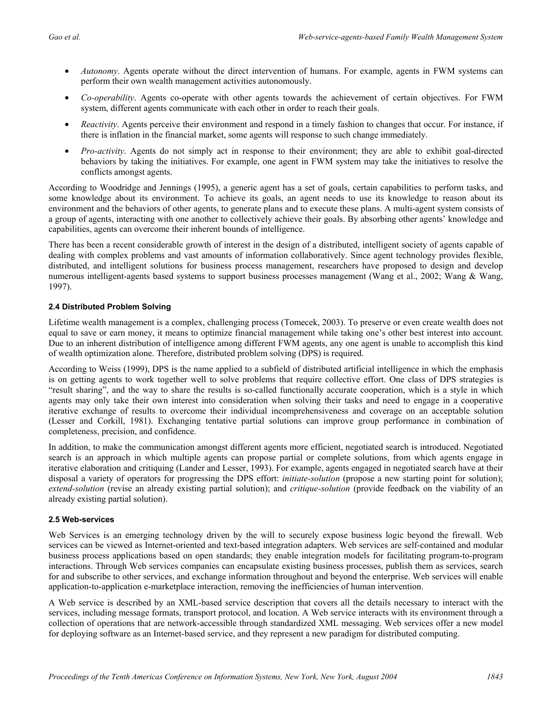- *Autonomy*. Agents operate without the direct intervention of humans. For example, agents in FWM systems can perform their own wealth management activities autonomously.
- *Co-operability*. Agents co-operate with other agents towards the achievement of certain objectives. For FWM system, different agents communicate with each other in order to reach their goals.
- *Reactivity*. Agents perceive their environment and respond in a timely fashion to changes that occur. For instance, if there is inflation in the financial market, some agents will response to such change immediately.
- *Pro-activity*. Agents do not simply act in response to their environment; they are able to exhibit goal-directed behaviors by taking the initiatives. For example, one agent in FWM system may take the initiatives to resolve the conflicts amongst agents.

According to Woodridge and Jennings (1995), a generic agent has a set of goals, certain capabilities to perform tasks, and some knowledge about its environment. To achieve its goals, an agent needs to use its knowledge to reason about its environment and the behaviors of other agents, to generate plans and to execute these plans. A multi-agent system consists of a group of agents, interacting with one another to collectively achieve their goals. By absorbing other agents' knowledge and capabilities, agents can overcome their inherent bounds of intelligence.

There has been a recent considerable growth of interest in the design of a distributed, intelligent society of agents capable of dealing with complex problems and vast amounts of information collaboratively. Since agent technology provides flexible, distributed, and intelligent solutions for business process management, researchers have proposed to design and develop numerous intelligent-agents based systems to support business processes management (Wang et al., 2002; Wang & Wang, 1997).

#### **2.4 Distributed Problem Solving**

Lifetime wealth management is a complex, challenging process (Tomecek, 2003). To preserve or even create wealth does not equal to save or earn money, it means to optimize financial management while taking one's other best interest into account. Due to an inherent distribution of intelligence among different FWM agents, any one agent is unable to accomplish this kind of wealth optimization alone. Therefore, distributed problem solving (DPS) is required.

According to Weiss (1999), DPS is the name applied to a subfield of distributed artificial intelligence in which the emphasis is on getting agents to work together well to solve problems that require collective effort. One class of DPS strategies is "result sharing", and the way to share the results is so-called functionally accurate cooperation, which is a style in which agents may only take their own interest into consideration when solving their tasks and need to engage in a cooperative iterative exchange of results to overcome their individual incomprehensiveness and coverage on an acceptable solution (Lesser and Corkill, 1981). Exchanging tentative partial solutions can improve group performance in combination of completeness, precision, and confidence.

In addition, to make the communication amongst different agents more efficient, negotiated search is introduced. Negotiated search is an approach in which multiple agents can propose partial or complete solutions, from which agents engage in iterative elaboration and critiquing (Lander and Lesser, 1993). For example, agents engaged in negotiated search have at their disposal a variety of operators for progressing the DPS effort: *initiate-solution* (propose a new starting point for solution); *extend-solution* (revise an already existing partial solution); and *critique-solution* (provide feedback on the viability of an already existing partial solution).

#### **2.5 Web-services**

Web Services is an emerging technology driven by the will to securely expose business logic beyond the firewall. Web services can be viewed as Internet-oriented and text-based integration adapters. Web services are self-contained and modular business process applications based on open standards; they enable integration models for facilitating program-to-program interactions. Through Web services companies can encapsulate existing business processes, publish them as services, search for and subscribe to other services, and exchange information throughout and beyond the enterprise. Web services will enable application-to-application e-marketplace interaction, removing the inefficiencies of human intervention.

A Web service is described by an XML-based service description that covers all the details necessary to interact with the services, including message formats, transport protocol, and location. A Web service interacts with its environment through a collection of operations that are network-accessible through standardized XML messaging. Web services offer a new model for deploying software as an Internet-based service, and they represent a new paradigm for distributed computing.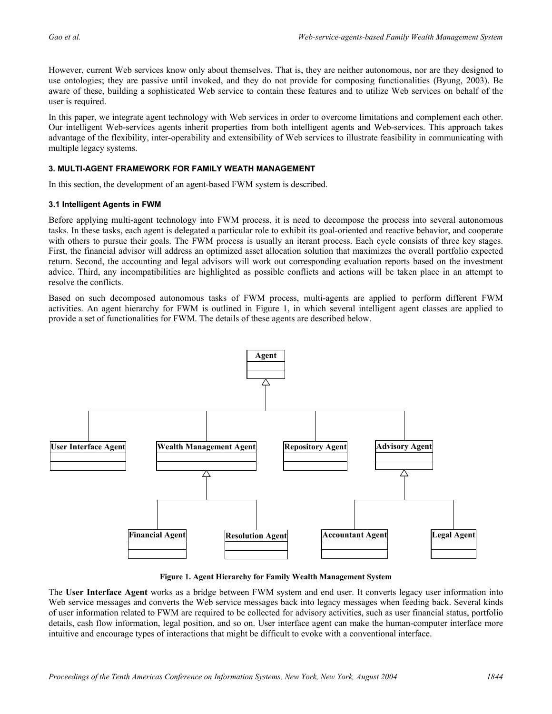However, current Web services know only about themselves. That is, they are neither autonomous, nor are they designed to use ontologies; they are passive until invoked, and they do not provide for composing functionalities (Byung, 2003). Be aware of these, building a sophisticated Web service to contain these features and to utilize Web services on behalf of the user is required.

In this paper, we integrate agent technology with Web services in order to overcome limitations and complement each other. Our intelligent Web-services agents inherit properties from both intelligent agents and Web-services. This approach takes advantage of the flexibility, inter-operability and extensibility of Web services to illustrate feasibility in communicating with multiple legacy systems.

#### **3. MULTI-AGENT FRAMEWORK FOR FAMILY WEATH MANAGEMENT**

In this section, the development of an agent-based FWM system is described.

#### **3.1 Intelligent Agents in FWM**

Before applying multi-agent technology into FWM process, it is need to decompose the process into several autonomous tasks. In these tasks, each agent is delegated a particular role to exhibit its goal-oriented and reactive behavior, and cooperate with others to pursue their goals. The FWM process is usually an iterant process. Each cycle consists of three key stages. First, the financial advisor will address an optimized asset allocation solution that maximizes the overall portfolio expected return. Second, the accounting and legal advisors will work out corresponding evaluation reports based on the investment advice. Third, any incompatibilities are highlighted as possible conflicts and actions will be taken place in an attempt to resolve the conflicts.

Based on such decomposed autonomous tasks of FWM process, multi-agents are applied to perform different FWM activities. An agent hierarchy for FWM is outlined in Figure 1, in which several intelligent agent classes are applied to provide a set of functionalities for FWM. The details of these agents are described below.



**Figure 1. Agent Hierarchy for Family Wealth Management System** 

The **User Interface Agent** works as a bridge between FWM system and end user. It converts legacy user information into Web service messages and converts the Web service messages back into legacy messages when feeding back. Several kinds of user information related to FWM are required to be collected for advisory activities, such as user financial status, portfolio details, cash flow information, legal position, and so on. User interface agent can make the human-computer interface more intuitive and encourage types of interactions that might be difficult to evoke with a conventional interface.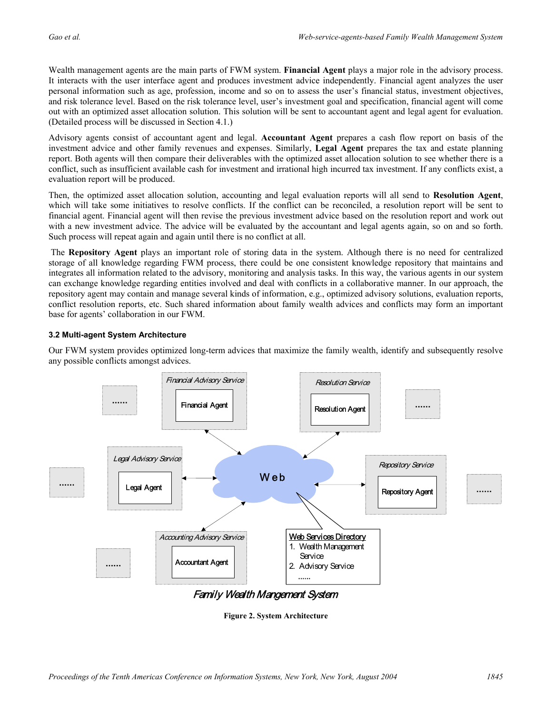Wealth management agents are the main parts of FWM system. **Financial Agent** plays a major role in the advisory process. It interacts with the user interface agent and produces investment advice independently. Financial agent analyzes the user personal information such as age, profession, income and so on to assess the user's financial status, investment objectives, and risk tolerance level. Based on the risk tolerance level, user's investment goal and specification, financial agent will come out with an optimized asset allocation solution. This solution will be sent to accountant agent and legal agent for evaluation. (Detailed process will be discussed in Section 4.1.)

Advisory agents consist of accountant agent and legal. **Accountant Agent** prepares a cash flow report on basis of the investment advice and other family revenues and expenses. Similarly, **Legal Agent** prepares the tax and estate planning report. Both agents will then compare their deliverables with the optimized asset allocation solution to see whether there is a conflict, such as insufficient available cash for investment and irrational high incurred tax investment. If any conflicts exist, a evaluation report will be produced.

Then, the optimized asset allocation solution, accounting and legal evaluation reports will all send to **Resolution Agent**, which will take some initiatives to resolve conflicts. If the conflict can be reconciled, a resolution report will be sent to financial agent. Financial agent will then revise the previous investment advice based on the resolution report and work out with a new investment advice. The advice will be evaluated by the accountant and legal agents again, so on and so forth. Such process will repeat again and again until there is no conflict at all.

The **Repository Agent** plays an important role of storing data in the system. Although there is no need for centralized storage of all knowledge regarding FWM process, there could be one consistent knowledge repository that maintains and integrates all information related to the advisory, monitoring and analysis tasks. In this way, the various agents in our system can exchange knowledge regarding entities involved and deal with conflicts in a collaborative manner. In our approach, the repository agent may contain and manage several kinds of information, e.g., optimized advisory solutions, evaluation reports, conflict resolution reports, etc. Such shared information about family wealth advices and conflicts may form an important base for agents' collaboration in our FWM.

#### **3.2 Multi-agent System Architecture**

Our FWM system provides optimized long-term advices that maximize the family wealth, identify and subsequently resolve any possible conflicts amongst advices.



**Figure 2. System Architecture**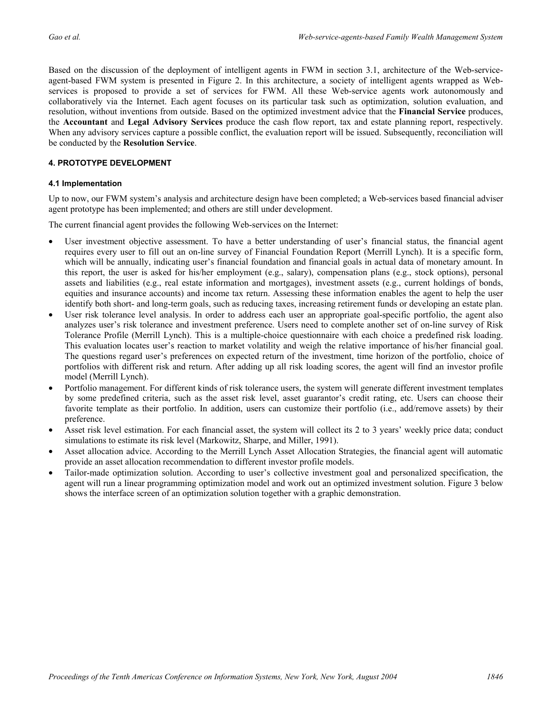Based on the discussion of the deployment of intelligent agents in FWM in section 3.1, architecture of the Web-serviceagent-based FWM system is presented in Figure 2. In this architecture, a society of intelligent agents wrapped as Webservices is proposed to provide a set of services for FWM. All these Web-service agents work autonomously and collaboratively via the Internet. Each agent focuses on its particular task such as optimization, solution evaluation, and resolution, without inventions from outside. Based on the optimized investment advice that the **Financial Service** produces, the **Accountant** and **Legal Advisory Services** produce the cash flow report, tax and estate planning report, respectively. When any advisory services capture a possible conflict, the evaluation report will be issued. Subsequently, reconciliation will be conducted by the **Resolution Service**.

#### **4. PROTOTYPE DEVELOPMENT**

#### **4.1 Implementation**

Up to now, our FWM system's analysis and architecture design have been completed; a Web-services based financial adviser agent prototype has been implemented; and others are still under development.

The current financial agent provides the following Web-services on the Internet:

- User investment objective assessment. To have a better understanding of user's financial status, the financial agent requires every user to fill out an on-line survey of Financial Foundation Report (Merrill Lynch). It is a specific form, which will be annually, indicating user's financial foundation and financial goals in actual data of monetary amount. In this report, the user is asked for his/her employment (e.g., salary), compensation plans (e.g., stock options), personal assets and liabilities (e.g., real estate information and mortgages), investment assets (e.g., current holdings of bonds, equities and insurance accounts) and income tax return. Assessing these information enables the agent to help the user identify both short- and long-term goals, such as reducing taxes, increasing retirement funds or developing an estate plan.
- User risk tolerance level analysis. In order to address each user an appropriate goal-specific portfolio, the agent also analyzes user's risk tolerance and investment preference. Users need to complete another set of on-line survey of Risk Tolerance Profile (Merrill Lynch). This is a multiple-choice questionnaire with each choice a predefined risk loading. This evaluation locates user's reaction to market volatility and weigh the relative importance of his/her financial goal. The questions regard user's preferences on expected return of the investment, time horizon of the portfolio, choice of portfolios with different risk and return. After adding up all risk loading scores, the agent will find an investor profile model (Merrill Lynch).
- Portfolio management. For different kinds of risk tolerance users, the system will generate different investment templates by some predefined criteria, such as the asset risk level, asset guarantor's credit rating, etc. Users can choose their favorite template as their portfolio. In addition, users can customize their portfolio (i.e., add/remove assets) by their preference.
- Asset risk level estimation. For each financial asset, the system will collect its 2 to 3 years' weekly price data; conduct simulations to estimate its risk level (Markowitz, Sharpe, and Miller, 1991).
- Asset allocation advice. According to the Merrill Lynch Asset Allocation Strategies, the financial agent will automatic provide an asset allocation recommendation to different investor profile models.
- Tailor-made optimization solution. According to user's collective investment goal and personalized specification, the agent will run a linear programming optimization model and work out an optimized investment solution. Figure 3 below shows the interface screen of an optimization solution together with a graphic demonstration.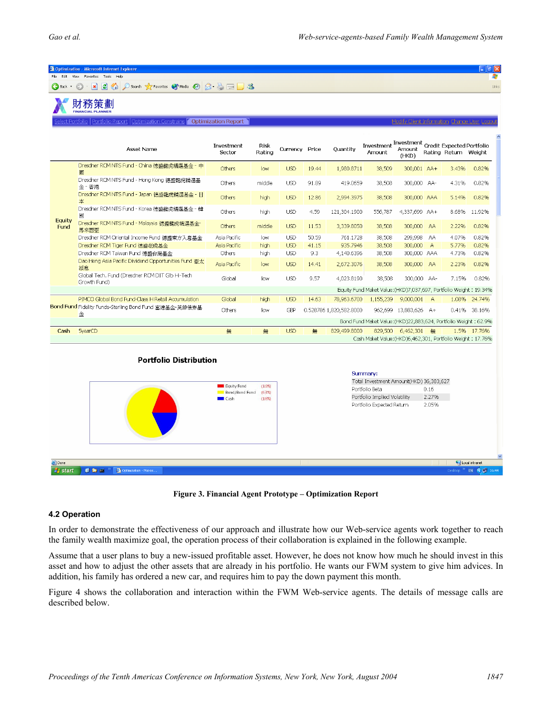|                                                                                                                                           | <sup>2</sup> Optimization - Microsoft Internet Explorer<br>File Edit View Favorites Tools Help |                                                                                                                                                              |                |                          |                |                         |                                                                             |                       |           |                      | -   『   ×<br>Æ                        |
|-------------------------------------------------------------------------------------------------------------------------------------------|------------------------------------------------------------------------------------------------|--------------------------------------------------------------------------------------------------------------------------------------------------------------|----------------|--------------------------|----------------|-------------------------|-----------------------------------------------------------------------------|-----------------------|-----------|----------------------|---------------------------------------|
| $\bigodot$ Back $\star$                                                                                                                   | <b>x 2 4 0 Search *</b> Favorites * * Media <sup>8</sup> 2 3 3 3                               |                                                                                                                                                              |                |                          |                |                         |                                                                             |                       |           |                      | Links                                 |
| 財務策劃<br><b>FINANCIAL PLANNER</b>                                                                                                          |                                                                                                |                                                                                                                                                              |                |                          |                |                         |                                                                             |                       |           |                      |                                       |
| <u>  ct Portfolio   Portfolio Report   Optimization Constrains   Coptimization Report   </u><br>Modify Client Information Change User Log |                                                                                                |                                                                                                                                                              |                |                          |                |                         |                                                                             |                       |           |                      |                                       |
|                                                                                                                                           | <b>Asset Name</b>                                                                              | Investment<br>Sector                                                                                                                                         | Risk<br>Rating | Currency Price           |                | Quantity                | Investment Investment<br>Credit Expected Portfolio<br>Amount                | Amount<br>(HKD)       |           | Rating Return Weight |                                       |
| Equity<br>Fund                                                                                                                            | Dresdner RCM NTS Fund - China 德盛龍虎精選基金 - 中<br>國                                                | Others                                                                                                                                                       | low            | <b>USD</b>               | 19.44          | 1,980.8711              | 38,509                                                                      | 300,001 AA+           |           | 3.43%                | 0.82%                                 |
|                                                                                                                                           | Dresdner RCM NTS Fund - Hong Kong 德盛龍虎精選基<br>金 - 香港                                            | Others                                                                                                                                                       | middle         | <b>USD</b>               | 91.89          | 419.0659                | 38,508                                                                      | 300,000 AA-           |           | 4.31%                | 0.82%                                 |
|                                                                                                                                           | Dresdner RCM NTS Fund - Japan 德盛龍虎精選基金 - 日<br>本                                                | Others                                                                                                                                                       | high           | <b>USD</b>               | 12.86          | 2,994.3975              | 38,508                                                                      | 300,000 AAA           |           | 5.14%                | 0.82%                                 |
|                                                                                                                                           | Dresdner RCM NTS Fund - Korea 德盛龍虎精選基金 - 韓<br>國                                                | Others                                                                                                                                                       | high           | <b>USD</b>               | 4.59           | 121,304.1900            | 556,787                                                                     | 4,337,699 AA+         |           | 8.68%                | 11.92%                                |
|                                                                                                                                           | Dresdner RCM NTS Fund - Malaysia 德盛龍虎精選基金-<br>馬來西亞                                             | Others                                                                                                                                                       | middle         | <b>USD</b>               | 11.53          | 3,339.8050              | 38,508                                                                      | 300,000               | <b>AA</b> | 2.22%                | 0.82%                                 |
|                                                                                                                                           | Dresdner RCM Oriental Income Fund 德盛東方入息基金<br>Dresdner RCM Tiger Fund 德盛老虎基金                   | Asia Pacific<br>Asia Pacific                                                                                                                                 | low<br>high    | <b>USD</b><br><b>USD</b> | 50.59<br>41.15 | 761.1728<br>935.7946    | 38,508<br>38,508                                                            | 299,998 AA<br>300,000 | A         | 4.07%<br>5.77%       | 0.82%<br>0.82%                        |
|                                                                                                                                           | Dresdner RCM Taiwan Fund 德盛台灣基金<br>Dao Heng Asia Pacific Dividend Opportunities Fund 亜太        | Others                                                                                                                                                       | high           | <b>USD</b>               | 9.3            | 4,140.6396              | 38,508                                                                      | 300,000 AAA           |           | 4.73%                | 0.82%                                 |
|                                                                                                                                           | 派息                                                                                             | Asia Pacific                                                                                                                                                 | low            | <b>USD</b>               | 14.41          | 2,672.3076              | 38,508                                                                      | 300,000 AA            |           | 2.23%                | 0.82%                                 |
|                                                                                                                                           | Global Tech. Fund (Dresdner RCM DIT Glb Hi-Tech<br>Growth Fund)                                | Global                                                                                                                                                       | low            | <b>USD</b>               | 9.57           | 4,023.8190              | 38,508<br>Equity Fund Maket Value: (HKD)7,037,697, Portfolio Weight: 19.34% | 300,000 AA-           |           | 7.15%                | 0.82%                                 |
|                                                                                                                                           | PIMCO Global Bond Fund-Class H Retail Accumulation                                             | Global                                                                                                                                                       | high           | <b>USD</b>               | 14.63          | 78,963.6700             | 1,155,239                                                                   | 9,000,001             | A         | 1.08%                | 24.74%                                |
|                                                                                                                                           | Bond Fund Fidelity Funds-Sterling Bond Fund 富達基金 英鎊債券基<br>金                                    | Others                                                                                                                                                       | low            | <b>GBP</b>               |                | 0.528786 1,820,582.8000 |                                                                             | 962,699 13,883,626 A+ |           |                      | 0.41% 38.16%                          |
|                                                                                                                                           |                                                                                                |                                                                                                                                                              |                |                          |                |                         | Bond Fund Maket Value: (HKD)22,883,624, Portfolio Weight: 62.9%             |                       |           |                      |                                       |
| Cash                                                                                                                                      | 5yearCD                                                                                        | 無                                                                                                                                                            | 無              | <b>USD</b>               | 無              | 829,499.8000            |                                                                             | 829,500 6,462,301 無   |           |                      | 1.5% 17.76%                           |
|                                                                                                                                           |                                                                                                |                                                                                                                                                              |                |                          |                |                         | Cash Maket Value: (HKD)6,462,301, Portfolio Weight: 17.76%                  |                       |           |                      |                                       |
|                                                                                                                                           | <b>Portfolio Distribution</b>                                                                  | Summary:<br>Total Investment Amount(HKD) 36,383,627<br>Portfolio Beta<br>0.16<br>Portfolio Implied Volatility<br>2.27%<br>Portfolio Expected Return<br>2.05% |                |                          |                |                         |                                                                             |                       |           |                      |                                       |
|                                                                                                                                           |                                                                                                |                                                                                                                                                              |                |                          |                |                         |                                                                             |                       |           |                      |                                       |
| <b>e</b> Done<br>$H2$ start $\Box$                                                                                                        | $100 \text{ m s}^{-3}$<br>200                                                                  |                                                                                                                                                              |                |                          |                |                         |                                                                             |                       |           |                      | Local intranet<br><b>EN 202 16:44</b> |



#### **4.2 Operation**

In order to demonstrate the effectiveness of our approach and illustrate how our Web-service agents work together to reach the family wealth maximize goal, the operation process of their collaboration is explained in the following example.

Assume that a user plans to buy a new-issued profitable asset. However, he does not know how much he should invest in this asset and how to adjust the other assets that are already in his portfolio. He wants our FWM system to give him advices. In addition, his family has ordered a new car, and requires him to pay the down payment this month.

Figure 4 shows the collaboration and interaction within the FWM Web-service agents. The details of message calls are described below.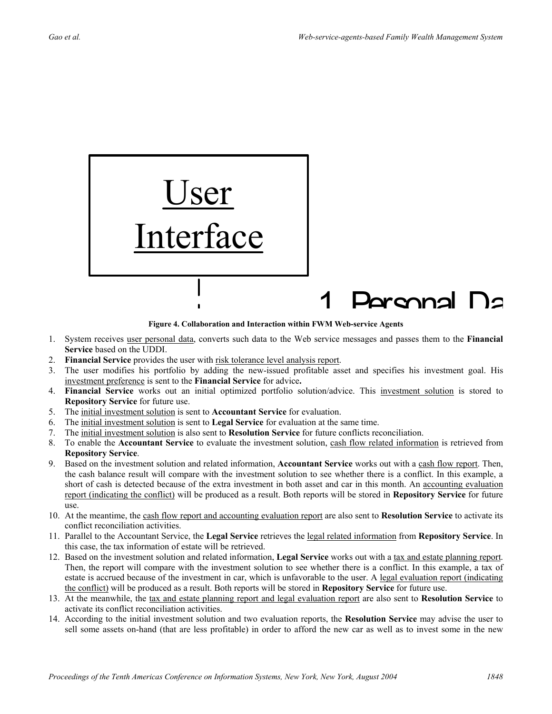

**Figure 4. Collaboration and Interaction within FWM Web-service Agents**

- 1. System receives user personal data, converts such data to the Web service messages and passes them to the **Financial Service** based on the UDDI.
- 2. **Financial Service** provides the user with risk tolerance level analysis report.
- 3. The user modifies his portfolio by adding the new-issued profitable asset and specifies his investment goal. His investment preference is sent to the **Financial Service** for advice**.**
- 4. **Financial Service** works out an initial optimized portfolio solution/advice. This investment solution is stored to **Repository Service** for future use.
- 5. The initial investment solution is sent to **Accountant Service** for evaluation.
- 6. The initial investment solution is sent to **Legal Service** for evaluation at the same time.
- 7. The initial investment solution is also sent to **Resolution Service** for future conflicts reconciliation.
- 8. To enable the **Accountant Service** to evaluate the investment solution, cash flow related information is retrieved from **Repository Service**.
- 9. Based on the investment solution and related information, **Accountant Service** works out with a cash flow report. Then, the cash balance result will compare with the investment solution to see whether there is a conflict. In this example, a short of cash is detected because of the extra investment in both asset and car in this month. An accounting evaluation report (indicating the conflict) will be produced as a result. Both reports will be stored in **Repository Service** for future use.
- 10. At the meantime, the cash flow report and accounting evaluation report are also sent to **Resolution Service** to activate its conflict reconciliation activities.
- 11. Parallel to the Accountant Service, the **Legal Service** retrieves the legal related information from **Repository Service**. In this case, the tax information of estate will be retrieved.
- 12. Based on the investment solution and related information, **Legal Service** works out with a tax and estate planning report. Then, the report will compare with the investment solution to see whether there is a conflict. In this example, a tax of estate is accrued because of the investment in car, which is unfavorable to the user. A legal evaluation report (indicating the conflict) will be produced as a result. Both reports will be stored in **Repository Service** for future use.
- 13. At the meanwhile, the tax and estate planning report and legal evaluation report are also sent to **Resolution Service** to activate its conflict reconciliation activities.
- 14. According to the initial investment solution and two evaluation reports, the **Resolution Service** may advise the user to sell some assets on-hand (that are less profitable) in order to afford the new car as well as to invest some in the new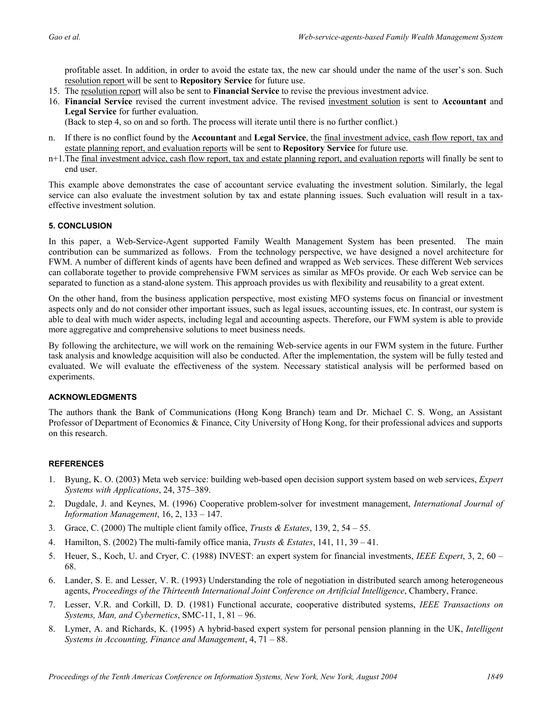profitable asset. In addition, in order to avoid the estate tax, the new car should under the name of the user's son. Such resolution report will be sent to **Repository Service** for future use.

- 15. The resolution report will also be sent to **Financial Service** to revise the previous investment advice.
- 16. **Financial Service** revised the current investment advice. The revised investment solution is sent to **Accountant** and **Legal Service** for further evaluation.

(Back to step 4, so on and so forth. The process will iterate until there is no further conflict.)

- n. If there is no conflict found by the **Accountant** and **Legal Service**, the final investment advice, cash flow report, tax and estate planning report, and evaluation reports will be sent to **Repository Service** for future use.
- n+1.The final investment advice, cash flow report, tax and estate planning report, and evaluation reports will finally be sent to end user.

This example above demonstrates the case of accountant service evaluating the investment solution. Similarly, the legal service can also evaluate the investment solution by tax and estate planning issues. Such evaluation will result in a taxeffective investment solution.

#### **5. CONCLUSION**

In this paper, a Web-Service-Agent supported Family Wealth Management System has been presented. The main contribution can be summarized as follows. From the technology perspective, we have designed a novel architecture for FWM. A number of different kinds of agents have been defined and wrapped as Web services. These different Web services can collaborate together to provide comprehensive FWM services as similar as MFOs provide. Or each Web service can be separated to function as a stand-alone system. This approach provides us with flexibility and reusability to a great extent.

On the other hand, from the business application perspective, most existing MFO systems focus on financial or investment aspects only and do not consider other important issues, such as legal issues, accounting issues, etc. In contrast, our system is able to deal with much wider aspects, including legal and accounting aspects. Therefore, our FWM system is able to provide more aggregative and comprehensive solutions to meet business needs.

By following the architecture, we will work on the remaining Web-service agents in our FWM system in the future. Further task analysis and knowledge acquisition will also be conducted. After the implementation, the system will be fully tested and evaluated. We will evaluate the effectiveness of the system. Necessary statistical analysis will be performed based on experiments.

#### **ACKNOWLEDGMENTS**

The authors thank the Bank of Communications (Hong Kong Branch) team and Dr. Michael C. S. Wong, an Assistant Professor of Department of Economics & Finance, City University of Hong Kong, for their professional advices and supports on this research.

#### **REFERENCES**

- 1. Byung, K. O. (2003) Meta web service: building web-based open decision support system based on web services, *Expert Systems with Applications*, 24, 375–389.
- 2. Dugdale, J. and Keynes, M. (1996) Cooperative problem-solver for investment management, *International Journal of Information Management*, 16, 2, 133 – 147.
- 3. Grace, C. (2000) The multiple client family office, *Trusts & Estates*, 139, 2, 54 55.
- 4. Hamilton, S. (2002) The multi-family office mania, *Trusts & Estates*, 141, 11, 39 41.
- 5. Heuer, S., Koch, U. and Cryer, C. (1988) INVEST: an expert system for financial investments, *IEEE Expert*, 3, 2, 60 68.
- 6. Lander, S. E. and Lesser, V. R. (1993) Understanding the role of negotiation in distributed search among heterogeneous agents, *Proceedings of the Thirteenth International Joint Conference on Artificial Intelligence*, Chambery, France.
- 7. Lesser, V.R. and Corkill, D. D. (1981) Functional accurate, cooperative distributed systems, *IEEE Transactions on Systems, Man, and Cybernetics*, SMC-11, 1, 81 – 96.
- 8. Lymer, A. and Richards, K. (1995) A hybrid-based expert system for personal pension planning in the UK, *Intelligent Systems in Accounting, Finance and Management*, 4, 71 – 88.